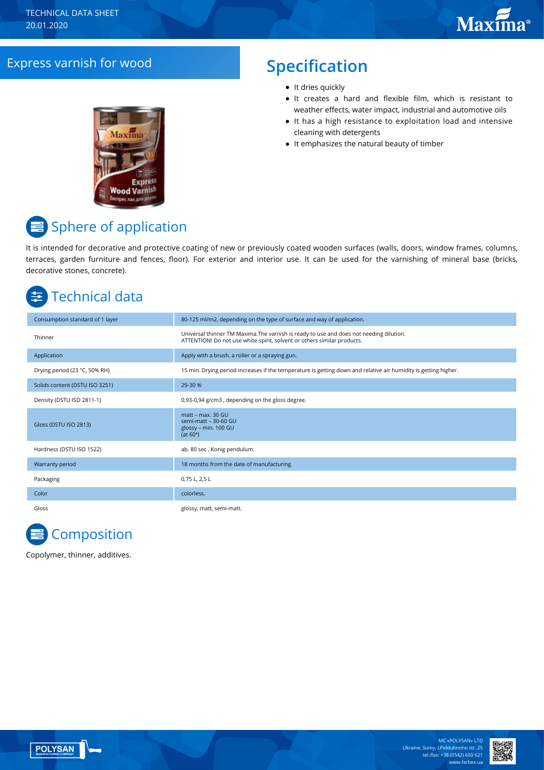### Express varnish for wood **Specification**

# **Express Wood Varnish**

- It dries quickly
- It creates a hard and flexible film, which is resistant to weather effects, water impact, industrial and automotive oils
- It has a high resistance to exploitation load and intensive cleaning with detergents
- It emphasizes the natural beauty of timber

# **■** Sphere of application

It is intended for decorative and protective coating of new or previously coated wooden surfaces (walls, doors, window frames, columns, terraces, garden furniture and fences, floor). For exterior and interior use. It can be used for the varnishing of mineral base (bricks, decorative stones, concrete).

# Technical data

| Consumption standard of 1 layer | 80-125 ml/m2, depending on the type of surface and way of application.                                                                                             |
|---------------------------------|--------------------------------------------------------------------------------------------------------------------------------------------------------------------|
| Thinner                         | Universal thinner TM Maxima. The varnish is ready to use and does not needing dilution.<br>ATTENTION! Do not use white-spirit, solvent or others similar products. |
| Application                     | Apply with a brush, a roller or a spraying gun.                                                                                                                    |
| Drying period (23 °C, 50% RH)   | 15 min. Drying period increases if the temperature is getting down and relative air humidity is getting higher.                                                    |
| Solids content (DSTU ISO 3251)  | 29-30 %                                                                                                                                                            |
| Density (DSTU ISO 2811-1)       | 0,93-0,94 g/cm3, depending on the gloss degree.                                                                                                                    |
| Gloss (DSTU ISO 2813)           | matt - max. 30 GU<br>semi-matt - 30-60 GU<br>glossy - min. 100 GU<br>(at $60^\circ$ )                                                                              |
| Hardness (DSTU ISO 1522)        | ab. 80 sec, Konig pendulum.                                                                                                                                        |
| Warranty period                 | 18 months from the date of manufacturing.                                                                                                                          |
| Packaging                       | 0,75 L, 2,5 L                                                                                                                                                      |
| Color                           | colorless.                                                                                                                                                         |
| Gloss                           | glossy, matt, semi-matt.                                                                                                                                           |



Copolymer, thinner, additives.